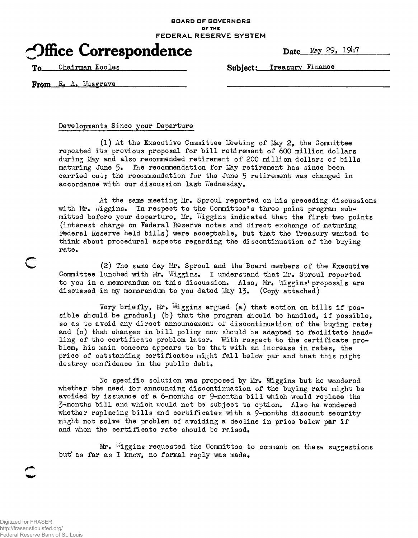**BOARD OF GOVERNORS OF THE FEDERAL RESERVE SYSTEM**



To Chairman Eocles Subject: Treasury Finance

From R. A. Musgrave

Developments Since your Departure

(1) At the Executive Committee Meeting of May 2, the Committee repeated its previous proposal for bill retirement of 600 million dollars during May and also recommended retirement of 200 million dollars of bills maturing June 5» The recommendation for May retirement has since been carried out; the recommendation for the June 5 retirement was changed in accordance with our discussion last Wednesday.

At the same meeting Mr. Sproul reported on his preceding discussions with Mr. Wiggins. In respect to the Committee's three point program submitted before your departure, Mr. Wiggins indicated that the first two points (interest charge on Federal Reserve notes and direct exchange of maturing Federal Reserve held bills) were acceptable, but that the Treasury wanted to think about procedural aspects regarding the discontinuation of the buying rate.

 $(2)$  The same day Mr. Sproul and the Board members of the Executive Committee lunched with Mr. Wiggins. I understand that Mr. Sproul reported to you in a memorandum on this discussion. Also, Mr. Wiggins' proposals are discussed in my memorandum to you dated May 13. (Copy attached)

Very briefly, Mr. Wiggins argued (a) that action on bills if possible should be gradual; (b) that the program should be handled, if possible, so as to avoid any direct announcement of discontinuation of the buying rate; and (c) that changes in bill policy now should be adapted to facilitate handling of the certificate problem later. With respect to the certificate problem, his main concern appears to be that with an increase in rates, the price of outstanding certificates might fall below par and that this might destroy confidence in the public debt.

No specific solution was proposed by Mr. Wiggins but he wondered whether the need for announcing discontinuation of the buying rate might be avoided by issuance of a  $6$ -months or  $9$ -months bill which would replace the 3-months bill and which would not be subject to option. Also he wondered whether replacing bills and certificates with a  $9$ -months discount security might not solve the problem of avoiding a decline in price below par if and when the certificate rate should be raised.

Mr. Wiggins requested the Committee to comment on these suggestions but' as far as I know, no formal reply was made.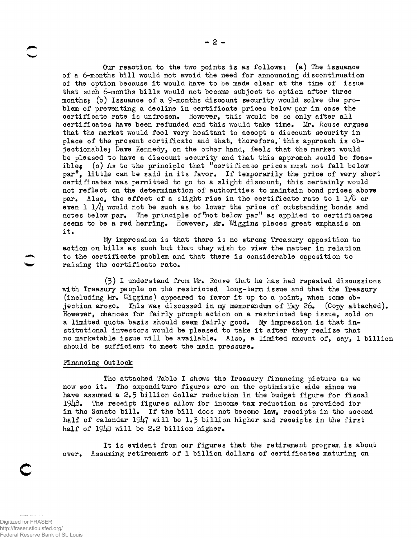Our reaction to the two points is as follows: (a) The issuance of a 6-months bill would not avoid the need for announcing discontinuation of the option because it would have to be made clear at the time of issue that such 6-months bills would not become subject to option after three months; (b) Issuance of a 9-months discount security would solve the problem of preventing a decline in certificate prices below par in case the certificate rate is unfrozen. However, this would be so only after all certificates have been refunded and this would take time. Mr. Rouse argues that the market would feel very hesitant to accept a discount security in place of the present certificate and that, therefore,'this approach is objectionable; Dave Kennedy, on the other hand, feels that the market would be pleased to have a discount security and that this approach would be feasible: (c) As to the principle that "certificate prices must not fall below par<sup>n</sup>, little can be said in its favor. If temporarily the price of very short certificates was permitted to go to a slight discount, this certainly would not reflect on the determination of authorities to maintain bond prices above par. Also, the effect of a slight rise in the certificate rate to 1  $1/8$  or even 1  $1/4$  would not be such as to lower the price of outstanding bonds and notes below par. The principle of "not below par" as applied to certificates seems to be a red herring. However, Mr. Wiggins places great emphasis on it.

Ity impression is that there is no strong Treasury opposition to action on bills as such but that they wish to view the matter in relation to the certificate problem and that there is considerable opposition to raising the certificate rate.

 $(3)$  I understand from Mr. Rouse that he has had repeated discussions with Treasury people on the restricted long-term issue and that the Treasury (including Mr. Wiggins) appeared to favor it up to a point, when some objection arose. This was discussed in my memorandum of May 26. (Copy attached). However, chances for fairly prompt action on a restricted tap issue, sold on a limited quota basis should seem fairly good. My impression is that institutional investors would be pleased to take it after they realize that no marketable issue will be available. Also, a limited amount of, say, 1 billion should be sufficient to meet the main pressure.

#### Financing Outlook

The attached Table I shows the Treasury financing picture as we now see it. The expenditure figures are on the optimistic side since we have assumed a  $2.5$  billion dollar reduction in the budget figure for fiscal 19U8» The receipt figures allow for inoome tax reduction as provided for in the Senate bill. If the bill does not become law, receipts in the second half of calendar 1947 will be 1.3 billion higher and receipts in the first half of  $1948$  will be 2.2 billion higher.

It is evident from our figures that the retirement program is about over. Assuming retirement of 1 billion dollars of certificates maturing on

**c**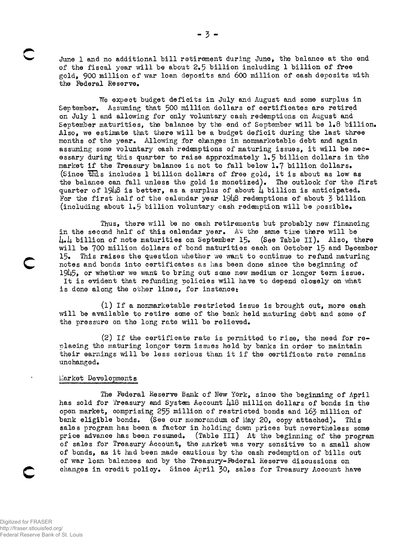June 1 and no additional bill retirement during June, the balance at the end of the fiscal year will be about 2.5 billion including 1 billion of free gold, 900 million of war loan deposits and 600 million of cash deposits with the Federal Reserve.

We expect budget deficits in July and August and some surplus in September, Assuming that 500 million dollars of certificates are retired on July 1 and allowing for only voluntary cash redemptions on August and September maturities, the balance by the end of September will be 1.8 billion. Also, we estimate that there will be a budget deficit during the last three months of the year. Allowing for changes in nonmarketable debt and again assuming some voluntary cash redemptions of maturing issues, it will be necessary during this quarter to raise approximately 1.5 billion dollars in the market if the Treasury balance is not to fall below 1.7 billion dollars. (Since this includes 1 billion dollars of free gold, it is about as low as the balance can fall unless the gold is monetized). The outlook for the first quarter of 1948 is better, as a surplus of about  $\mu$  billion is anticipated. For the first half of the calendar year  $1948$  redemptions of about 3 billion (including about 1.5 billion voluntary cash redemption will be possible.

Thus, there will be no cash retirements but probably new financing in the second half of this calendar year. At the same time there will be  $\mu_*\mu$  billion of note maturities on September 15. (See Table II). Also, there will be 700 million dollars of bond maturities each on October 15 and December 15. This raises the question whether we want to continue to refund maturing notes and bonds into certificates as lias been done since the beginning of  $1945$ , or whether we want to bring out some new medium or longer term issue. It is evident that refunding policies will have to depend closely on what is done along the other lines, for instance:

(1) If a nonmarketable restricted issue is brought out, more cash will be available to retire some of the bank held maturing debt and some of the pressure on the long rate will be relieved.

(2) If the certificate rate is permitted to rise, the need for replacing the maturing longer term issues held by banks in order to maintain their earnings will be less serious than it if the certificate rate remains unchanged.

## Llarket Developments

The Federal Reserve Bank of New York, since the beginning of April has sold for Treasury and System Account 418 million dollars of bonds in the open market, comprising 255 million of restricted bonds and 163 million of bank eligible bonds. (See our memorandum of May 20, copy attached). This sales program has been a factor in holding down prices but nevertheless some price advance has been resumed. (Table III) At the beginning of the program of sales for Treasury Account, the market was very sensitive to a small show of bonds, as it had been made cautious by the cash redemption of bills out of war loan balances and by the Treasury-Federal Reserve discussions on changes in credit policy. Since April 30, sales for Treasury Account have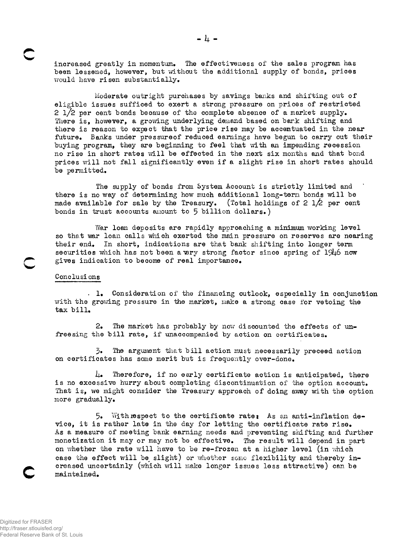increased greatly in momentum. The effectiveness of the sales program has been lessened, however, but without the additional supply of bonds, prices would have risen substantially.

Moderate outright purchases by savings banks and shifting out of eligible issues sufficed to exert a strong pressure on prices of restricted 2  $1/2$  per cent bonds because of the complete absence of a market supply. There is, however, a growing underlying demand based on bark shifting and there is reason to expect that the price rise may be accentuated in the near future. Banks under pressureof reduced earnings have begun to carry out their buying program, they are beginning to feel that with an impending recession no rise in short rates will be effected in the next six months and that bond prices will not fall significantly even if a slight rise in short rates should be permitted.

The supply of bonds from System Account is strictly limited and there is no way of determining how much additional long-tern bonds will be made available for sale by the Treasury. (Total holdings of 2  $1/2$  per cent bonds in trust accounts anount to 5 billion dollars.)

War loan deposits are rapidly approaching a minimum working level so that war loan calls which exerted the main pressure on reserves are nearing their end. In short, indications are that bank shifting into longer term securities which has not been a very strong factor since spring of 1946 now gives indication to become of real importance.

## Conclusions

. 1» Consideration of the financing outlook, especially in conjunction with the growing pressure in the market, make a strong case for vetoing the tax bill,

2» The market has probably by now discounted the effects of unfreesing the bill rate, if unaccompanied by action on certificates.

3» The argument that bill action must necessarily preceed action on certificates has some merit but is frequently over-done.

 $\mu_{\bullet}$  Therefore, if no early certificate action is anticipated, there is no excessive hurry about completing discontinuation of the option account. That is, we might consider the Treasury approach of doing away with the option more gradually.

5. With respect to the certificate rate: As an anti-inflation device, it is rather late in the day for letting the certificate rate rise. As a measure of meeting bank earning needs and preventing shifting and further monetization it may or may not be effective. The result will depend in part on whether the rate will have to be re-frozen at a higher level (in which case the effect will be slight) or whether some flexibility and thereby increased uncertainly (which will make longer issues less attractive) can be maintained.

**c**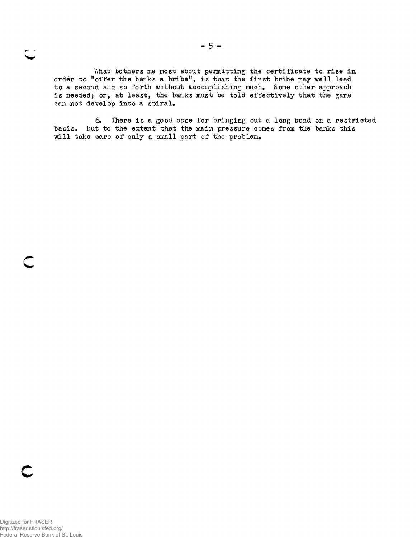What bothers me most about permitting the certificate to rise in order to "offer the banks a bribe", is that the first bribe may well lead to a second and so forth without accomplishing much. Some other approach is needed; or, at least, the banks must be told effectively that the game can not develop into a spiral.

6. There is a good case for bringing out a long bond on a restricted basis. But to the extent that the main pressure comes from the banks this will take care of only a small part of the problem.

**c**

 $\overline{\phantom{a}}$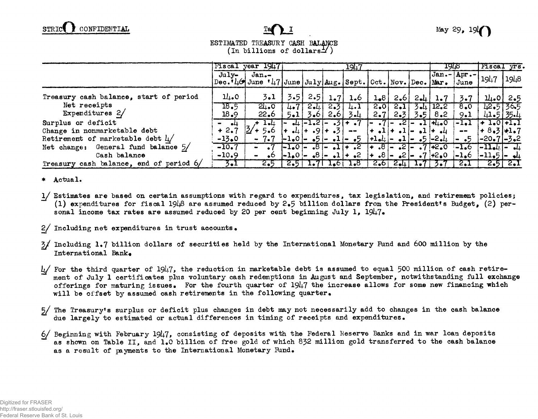## ESTIMATED TREASURY CASH BALANCE  $($ In billions of dollars $\pm$  $($ )

|                                         |              | Fiscal year 1947                                                                                              | 1947    |                     |                    |                                                                                                | 19TR         |            | Fiscal yrs.                                                   |                           |                                                                                                                                                                                                                                                                                                                                                                                              |                         |              |
|-----------------------------------------|--------------|---------------------------------------------------------------------------------------------------------------|---------|---------------------|--------------------|------------------------------------------------------------------------------------------------|--------------|------------|---------------------------------------------------------------|---------------------------|----------------------------------------------------------------------------------------------------------------------------------------------------------------------------------------------------------------------------------------------------------------------------------------------------------------------------------------------------------------------------------------------|-------------------------|--------------|
|                                         | July-        | $Jan -$<br>$\texttt{Dec.} \mathbf{V}_4 \Theta$ June $\mathbf{V}_4$ 7 June July Aug. Sept. Oct. Nov. Dec. Mar. |         |                     |                    |                                                                                                |              |            |                                                               |                           | $ Jan.- Apr.- $<br>June                                                                                                                                                                                                                                                                                                                                                                      | 1947                    | 1948         |
| Treasury cash balance, start of period  | 11.0         | 3.1                                                                                                           | 3.5     | 2.5                 | 1.7                | 1.6                                                                                            | 1,8          | 2,6        | $2 - 1$                                                       | 1.7                       | $3 \cdot 7$                                                                                                                                                                                                                                                                                                                                                                                  |                         | $11.0$ 2.5   |
| Net receipts<br>Expenditures 2/         | 18.5<br>18.9 | 24.0<br>22.6                                                                                                  | $5 - 1$ | $4.7$   2.41<br>3.6 | 2.31<br>2,6        | 4.1<br>$3 - 4$                                                                                 | 2.OI<br>2.7  | 2.1<br>2.3 |                                                               | $3 - 12.2$<br>$3.5$   8.2 | 8.0<br>9.1                                                                                                                                                                                                                                                                                                                                                                                   | 12.51365<br>$41.5$ 35.4 |              |
| Surplus or deficit                      |              | ⊥•⊔                                                                                                           |         |                     |                    | $\left  - 1.2 \right  - 1.2$ $\left  - 7 \right $                                              | $\mathbf{I}$ |            | $-7$ $-2$ $-1$ $+1$ $+0$                                      |                           | $-Le1$                                                                                                                                                                                                                                                                                                                                                                                       | $+ 1.0 + 1.1$           |              |
| Change in nonmarketable debt            | $+2.7$       | $2'$ + 5.6                                                                                                    |         |                     | $-4$ + $-9$ + $-3$ | $\frac{1}{2} \left( \frac{1}{2} \right) \left( \frac{1}{2} \right) \left( \frac{1}{2} \right)$ |              |            | $\frac{1}{2}$ + $\frac{1}{2}$ + $\frac{1}{2}$ + $\frac{1}{2}$ |                           | $\frac{1}{2} \frac{1}{2} \frac{1}{2} \frac{1}{2} \frac{1}{2} \frac{1}{2} \frac{1}{2} \frac{1}{2} \frac{1}{2} \frac{1}{2} \frac{1}{2} \frac{1}{2} \frac{1}{2} \frac{1}{2} \frac{1}{2} \frac{1}{2} \frac{1}{2} \frac{1}{2} \frac{1}{2} \frac{1}{2} \frac{1}{2} \frac{1}{2} \frac{1}{2} \frac{1}{2} \frac{1}{2} \frac{1}{2} \frac{1}{2} \frac{1}{2} \frac{1}{2} \frac{1}{2} \frac{1}{2} \frac{$ | $+8.3 + 1.7$            |              |
| Retirement of marketable debt $\mu$ /   | $-13.0$      | $-7.7$                                                                                                        |         |                     |                    | $ -1,0 -5 -1 -5$                                                                               |              |            | $ +1.4  = .1  = .5 -2.4 $                                     |                           | $\sim$ -5                                                                                                                                                                                                                                                                                                                                                                                    | $[-20.7]$ -3.2          |              |
| Net change: General fund balance 5/     | $-10.7$      | $\bullet$                                                                                                     |         |                     |                    | $ -1.0 $ - $.8 $ - $.1 $ + .2                                                                  |              |            | $+ .8 - .2 - .7 + .2.0$                                       |                           |                                                                                                                                                                                                                                                                                                                                                                                              | $[-1.6 -11.44] - 44$    |              |
| Cash balance                            | $-10.9$      | $\bullet$<br>$\blacksquare$                                                                                   |         |                     |                    | $ -1.0 $ $ .8 $ $ .1 $ $+$ $.2$                                                                |              |            | $ +$ $\bullet$ 8 $  +$ 2 $\bullet$ 7 $+$ 2 $\bullet$ 0        |                           | $-1.6$                                                                                                                                                                                                                                                                                                                                                                                       | $ -11.5 -1.4$           |              |
| Treasury cash balance, end of period 6/ | $3 - 1$      | 2.5                                                                                                           |         |                     |                    | $[2.5]$ 1.71 1.6 1.8                                                                           |              |            | $2.6$ $2.4$ $1.7$ $2.7$                                       |                           | 2.1                                                                                                                                                                                                                                                                                                                                                                                          |                         | $2.5 \, 2.1$ |

Actual.  $\ast$ 

1/ Estimates are based on certain assumptions with regard to expenditures, tax legislation, and retirement policies; (1) expenditures for fiscal  $1948$  are assumed reduced by 2.5 billion dollars from the President's Budget, (2) personal income tax rates are assumed reduced by 20 per cent beginning July 1,  $1947\bullet$ 

2/ Including net expenditures in trust accounts.

- 3/ Including 1.7 billion dollars of securities held by the International Monetary Fund and 600 million by the International Bank.
- $\frac{1}{2}$  For the third quarter of 1947, the reduction in marketable debt is assumed to equal 500 million of cash retirement of July 1 certificates plus voluntary cash redemptions in August and September, notwithstanding full exchange offerings for maturing issues. For the fourth quarter of 1947 the increase allows for some new financing which will be offset by assumed cash retirements in the following quarter.
- The Treasury's surplus or deficit plus changes in debt may not necessarily add to changes in the cash balance  $5/$ due largely to estimated or actual differences in timing of receipts and expenditures.
- $6/$  Beginning with February 1947, consisting of deposits with the Federal Reserve Banks and in war loan deposits as shown on Table II, and 1.0 billion of free gold of which 832 million gold transferred to the cash balance as a result of payments to the International Monetary Fund.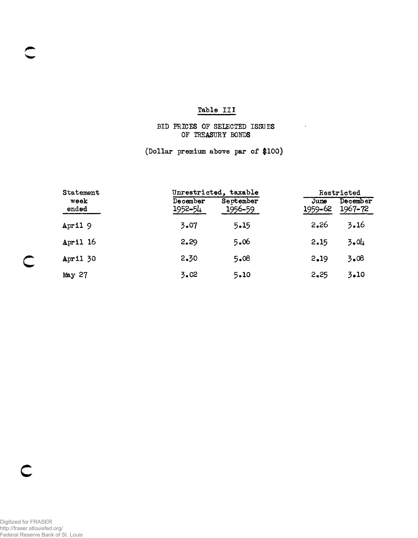## Table III

## BID PRICES OF SELECTED ISSUES OF TREASURY BONDS

 $\mathcal{L}_{\rm{max}}$  and  $\mathcal{L}_{\rm{max}}$ 

(Dollar premium above par of \$100)

| Statement         |                     | Unrestricted, taxable | Restricted      |                     |  |  |
|-------------------|---------------------|-----------------------|-----------------|---------------------|--|--|
| week<br>ended     | December<br>1952-54 | September<br>1956-59  | June<br>1959-62 | December<br>1967-72 |  |  |
| April 9           | 3.07                | 5.15                  | 2.26            | 3.16                |  |  |
| April 16          | 2.29                | 5.06                  | 2.15            | 3.04                |  |  |
| <b>April 30</b>   | 2.30                | 5.08                  | 2.19            | 3.08                |  |  |
| May <sub>27</sub> | 3.02                | 5.10                  | 2.25            | 3.10                |  |  |

C

 $\subset$ 

**c**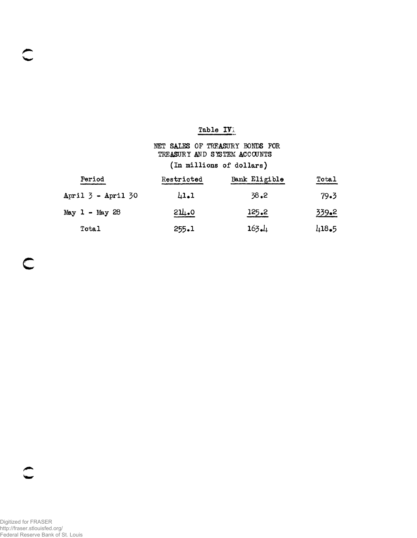## Table IV

# NET SALES OF TREASURY BONDS FOR TREASURY AND SYSTEM ACCOUNTS (In millions of dollars)

| Period                 | Restricted | Bank Eligible | Total        |
|------------------------|------------|---------------|--------------|
| April $3$ - April $30$ | 41.1       | 38.2          | 79.3         |
| May $1 -$ May 28       | 211.0      | 125.2         | <u>339.2</u> |
| Total                  | 255.1      | $163 - 4$     | $418-5$      |

 $\ddot{\ }$